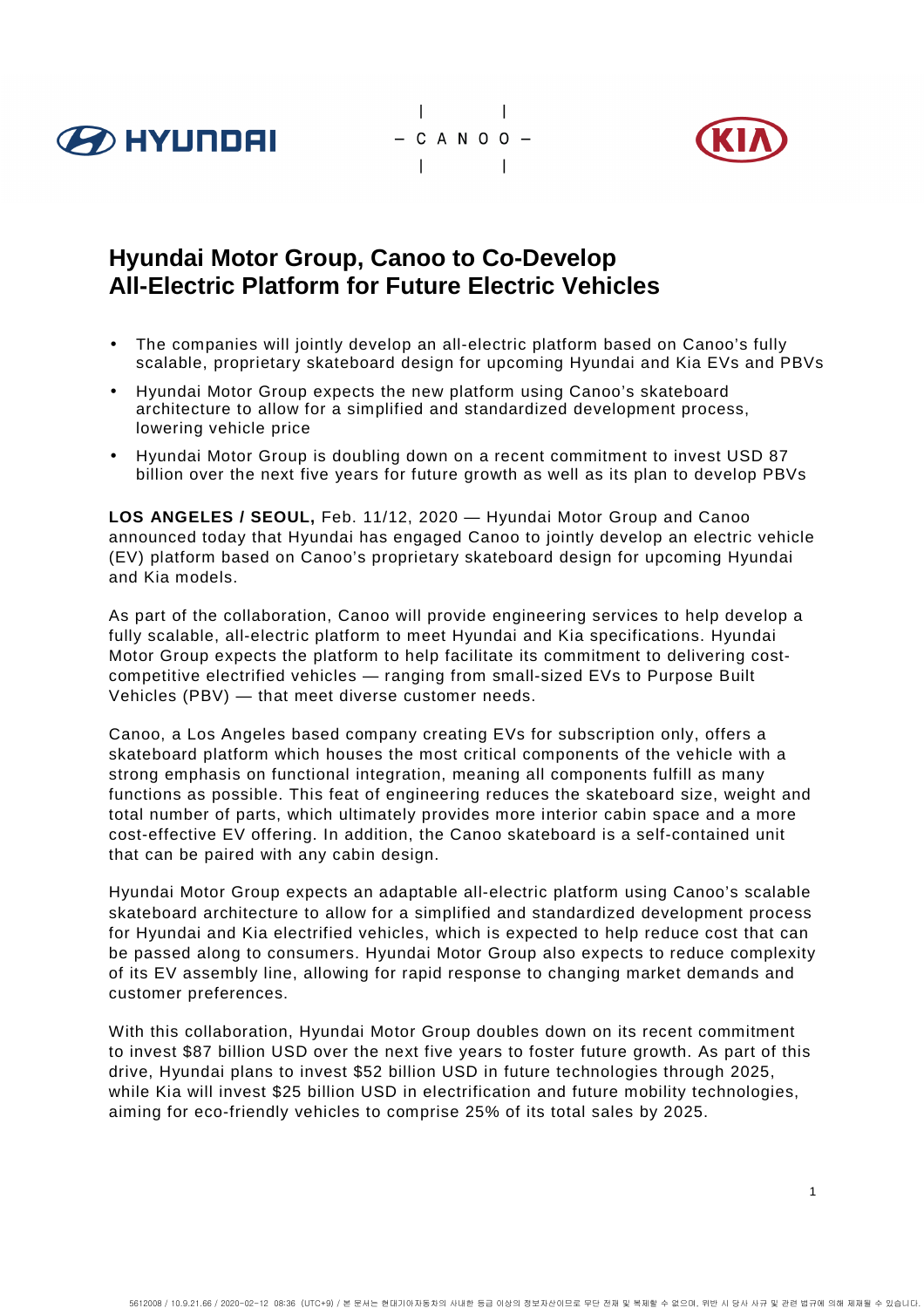





# **Hyundai Motor Group, Canoo to Co-Develop All-Electric Platform for Future Electric Vehicles**

- The companies will jointly develop an all-electric platform based on Canoo's fully scalable, proprietary skateboard design for upcoming Hyundai and Kia EVs and PBVs
- Hyundai Motor Group expects the new platform using Canoo's skateboard architecture to allow for a simplified and standardized development process, lowering vehicle price
- Hyundai Motor Group is doubling down on a recent commitment to invest USD 87 billion over the next five years for future growth as well as its plan to develop PBVs

**LOS ANGELES / SEOUL,** Feb. 11/12, 2020 — Hyundai Motor Group and Canoo announced today that Hyundai has engaged Canoo to jointly develop an electric vehicle (EV) platform based on Canoo's proprietary skateboard design for upcoming Hyundai and Kia models.

As part of the collaboration, Canoo will provide engineering services to help develop a fully scalable, all-electric platform to meet Hyundai and Kia specifications. Hyundai Motor Group expects the platform to help facilitate its commitment to delivering costcompetitive electrified vehicles — ranging from small-sized EVs to Purpose Built Vehicles (PBV) — that meet diverse customer needs.

Canoo, a Los Angeles based company creating EVs for subscription only, offers a skateboard platform which houses the most critical components of the vehicle with a strong emphasis on functional integration, meaning all components fulfill as many functions as possible. This feat of engineering reduces the skateboard size, weight and total number of parts, which ultimately provides more interior cabin space and a more cost-effective EV offering. In addition, the Canoo skateboard is a self-contained unit that can be paired with any cabin design.

Hyundai Motor Group expects an adaptable all-electric platform using Canoo's scalable skateboard architecture to allow for a simplified and standardized development process for Hyundai and Kia electrified vehicles, which is expected to help reduce cost that can be passed along to consumers. Hyundai Motor Group also expects to reduce complexity of its EV assembly line, allowing for rapid response to changing market demands and customer preferences.

With this collaboration, Hyundai Motor Group doubles down on its recent commitment to invest \$87 billion USD over the next five years to foster future growth. As part of this drive, Hyundai plans to invest \$52 billion USD in future technologies through 2025, while Kia will invest \$25 billion USD in electrification and future mobility technologies, aiming for eco-friendly vehicles to comprise 25% of its total sales by 2025.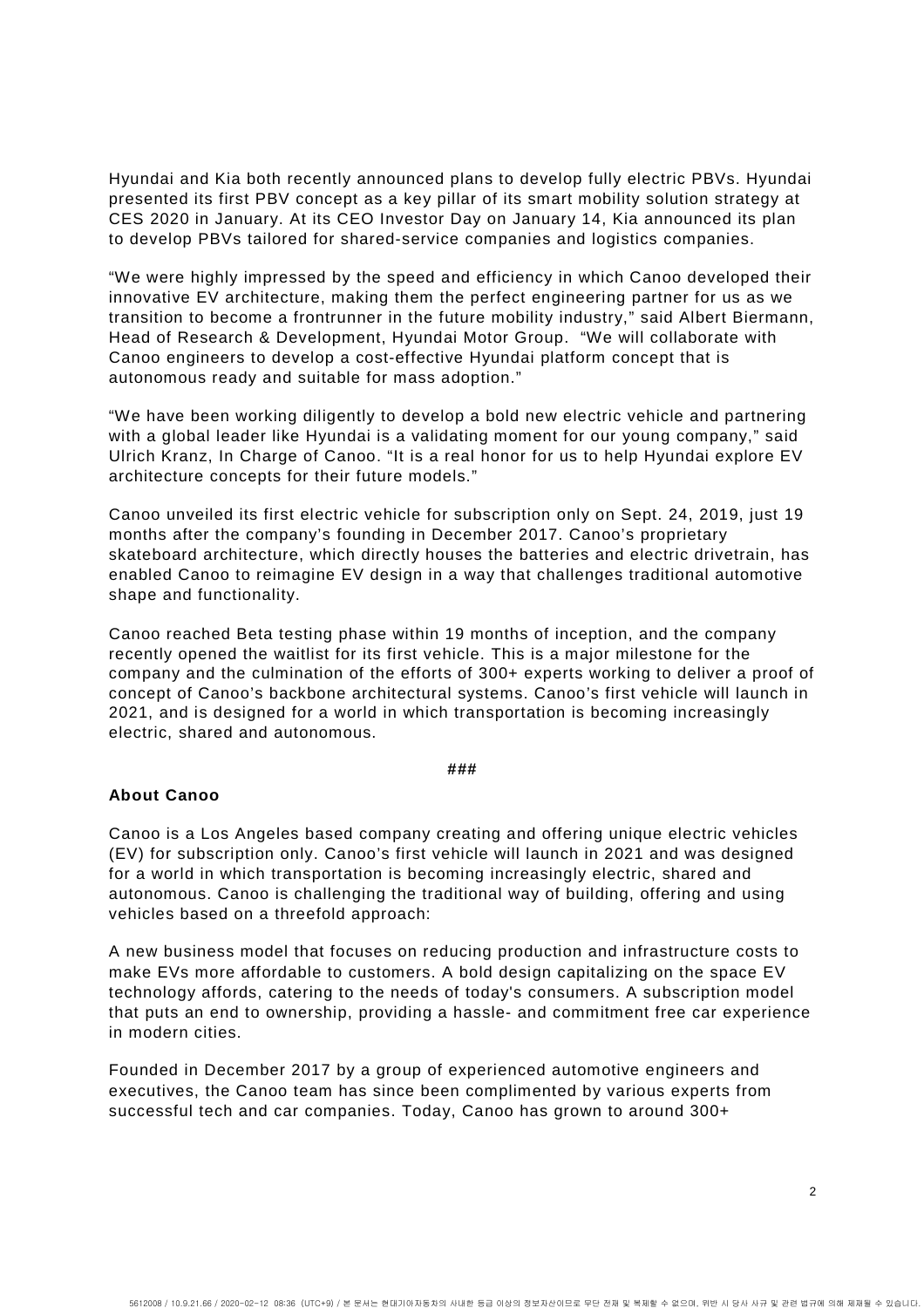Hyundai and Kia both recently announced plans to develop fully electric PBVs. Hyundai presented its first PBV concept as a key pillar of its smart mobility solution strategy at CES 2020 in January. At its CEO Investor Day on January 14, Kia announced its plan to develop PBVs tailored for shared-service companies and logistics companies.

"We were highly impressed by the speed and efficiency in which Canoo developed their innovative EV architecture, making them the perfect engineering partner for us as we transition to become a frontrunner in the future mobility industry," said Albert Biermann, Head of Research & Development, Hyundai Motor Group. "We will collaborate with Canoo engineers to develop a cost-effective Hyundai platform concept that is autonomous ready and suitable for mass adoption."

"We have been working diligently to develop a bold new electric vehicle and partnering with a global leader like Hyundai is a validating moment for our young company," said Ulrich Kranz, In Charge of Canoo. "It is a real honor for us to help Hyundai explore EV architecture concepts for their future models."

Canoo unveiled its first electric vehicle for subscription only on Sept. 24, 2019, just 19 months after the company's founding in December 2017. Canoo's proprietary skateboard architecture, which directly houses the batteries and electric drivetrain, has enabled Canoo to reimagine EV design in a way that challenges traditional automotive shape and functionality.

Canoo reached Beta testing phase within 19 months of inception, and the company recently opened the waitlist for its first vehicle. This is a major milestone for the company and the culmination of the efforts of 300+ experts working to deliver a proof of concept of Canoo's backbone architectural systems. Canoo's first vehicle will launch in 2021, and is designed for a world in which transportation is becoming increasingly electric, shared and autonomous.

#### **###**

#### **About Canoo**

Canoo is a Los Angeles based company creating and offering unique electric vehicles (EV) for subscription only. Canoo's first vehicle will launch in 2021 and was designed for a world in which transportation is becoming increasingly electric, shared and autonomous. Canoo is challenging the traditional way of building, offering and using vehicles based on a threefold approach:

A new business model that focuses on reducing production and infrastructure costs to make EVs more affordable to customers. A bold design capitalizing on the space EV technology affords, catering to the needs of today's consumers. A subscription model that puts an end to ownership, providing a hassle- and commitment free car experience in modern cities.

Founded in December 2017 by a group of experienced automotive engineers and executives, the Canoo team has since been complimented by various experts from successful tech and car companies. Today, Canoo has grown to around 300+